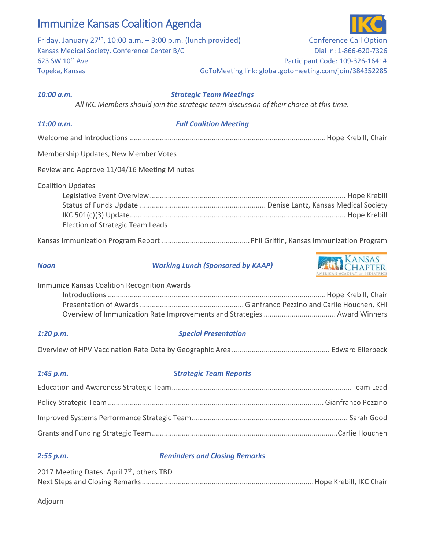## Immunize Kansas Coalition Agenda

Friday, January 27<sup>th</sup>, 10:00 a.m. - 3:00 p.m. (lunch provided) Conference Call Option

Kansas Medical Society, Conference Center B/C Dial In: 1-866-620-7326 Topeka, Kansas GoToMeeting link: global.gotomeeting.com/join/384352285

623 SW 10th Ave. Participant Code: 109-326-1641#

### *10:00 a.m. Strategic Team Meetings*

*All IKC Members should join the strategic team discussion of their choice at this time.* 

## *11:00 a.m. Full Coalition Meeting*

Welcome and Introductions ..................................................................................................Hope Krebill, Chair

Membership Updates, New Member Votes

Review and Approve 11/04/16 Meeting Minutes

Coalition Updates

| Election of Strategic Team Leads |  |
|----------------------------------|--|
|                                  |  |

Kansas Immunization Program Report ............................................Phil Griffin, Kansas Immunization Program

### *Noon Working Lunch (Sponsored by KAAP)*



Immunize Kansas Coalition Recognition Awards Introductions .............................................................................................................Hope Krebill, Chair Presentation of Awards....................................................Gianfranco Pezzino and Carlie Houchen, KHI Overview of Immunization Rate Improvements and Strategies.................................... Award Winners

### *1:20 p.m. Special Presentation*

Overview of HPV Vaccination Rate Data by Geographic Area ................................................. Edward Ellerbeck

### *1:45 p.m. Strategic Team Reports*

### *2:55 p.m. Reminders and Closing Remarks*

| 2017 Meeting Dates: April 7 <sup>th</sup> , others TBD |  |
|--------------------------------------------------------|--|
|                                                        |  |

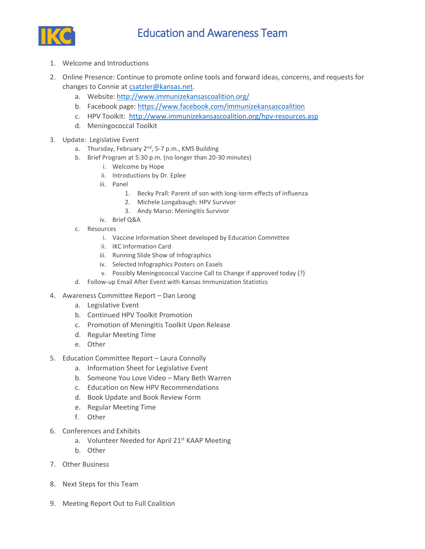

- 1. Welcome and Introductions
- 2. Online Presence: Continue to promote online tools and forward ideas, concerns, and requests for changes to Connie at [csatzler@kansas.net.](mailto:csatzler@kansas.net)
	- a. Website: <http://www.immunizekansascoalition.org/>
	- b. Facebook page[: https://www.facebook.com/immunizekansascoalition](https://www.facebook.com/immunizekansascoalition)
	- c. HPV Toolkit: <http://www.immunizekansascoalition.org/hpv-resources.asp>
	- d. Meningococcal Toolkit
- 3. Update: Legislative Event
	- a. Thursday, February 2<sup>nd</sup>, 5-7 p.m., KMS Building
	- b. Brief Program at 5:30 p.m. (no longer than 20-30 minutes)
		- i. Welcome by Hope
		- ii. Introductions by Dr. Eplee
		- iii. Panel
			- 1. Becky Prall: Parent of son with long-term effects of influenza
			- 2. Michele Longabaugh: HPV Survivor
			- 3. Andy Marso: Meningitis Survivor
		- iv. Brief Q&A
	- c. Resources
		- i. Vaccine Information Sheet developed by Education Committee
		- ii. IKC Information Card
		- iii. Running Slide Show of Infographics
		- iv. Selected Infographics Posters on Easels
		- v. Possibly Meningococcal Vaccine Call to Change if approved today (?)
	- d. Follow-up Email After Event with Kansas Immunization Statistics
- 4. Awareness Committee Report Dan Leong
	- a. Legislative Event
	- b. Continued HPV Toolkit Promotion
	- c. Promotion of Meningitis Toolkit Upon Release
	- d. Regular Meeting Time
	- e. Other
- 5. Education Committee Report Laura Connolly
	- a. Information Sheet for Legislative Event
	- b. Someone You Love Video Mary Beth Warren
	- c. Education on New HPV Recommendations
	- d. Book Update and Book Review Form
	- e. Regular Meeting Time
	- f. Other
- 6. Conferences and Exhibits
	- a. Volunteer Needed for April 21<sup>st</sup> KAAP Meeting
	- b. Other
- 7. Other Business
- 8. Next Steps for this Team
- 9. Meeting Report Out to Full Coalition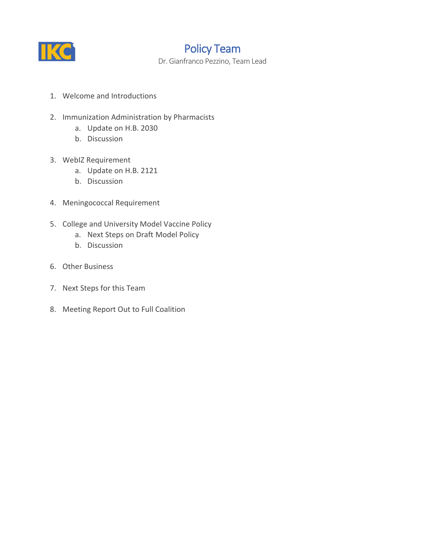

# Policy Team

Dr. Gianfranco Pezzino, Team Lead

- 1. Welcome and Introductions
- 2. Immunization Administration by Pharmacists
	- a. Update on H.B. 2030
	- b. Discussion
- 3. WebIZ Requirement
	- a. Update on H.B. 2121
	- b. Discussion
- 4. Meningococcal Requirement
- 5. College and University Model Vaccine Policy
	- a. Next Steps on Draft Model Policy
	- b. Discussion
- 6. Other Business
- 7. Next Steps for this Team
- 8. Meeting Report Out to Full Coalition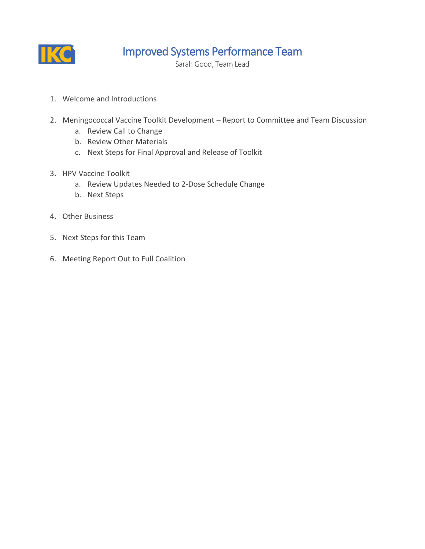

# Improved Systems Performance Team

Sarah Good, Team Lead

- 1. Welcome and Introductions
- 2. Meningococcal Vaccine Toolkit Development Report to Committee and Team Discussion
	- a. Review Call to Change
	- b. Review Other Materials
	- c. Next Steps for Final Approval and Release of Toolkit
- 3. HPV Vaccine Toolkit
	- a. Review Updates Needed to 2-Dose Schedule Change
	- b. Next Steps
- 4. Other Business
- 5. Next Steps for this Team
- 6. Meeting Report Out to Full Coalition